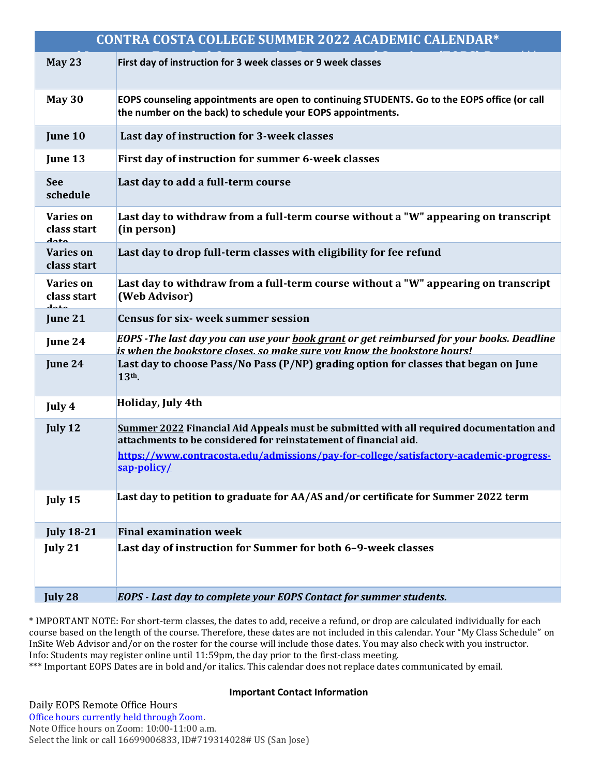| CONTRA COSTA COLLEGE SUMMER 2022 ACADEMIC CALENDAR* |                                                                                                                                                                                     |
|-----------------------------------------------------|-------------------------------------------------------------------------------------------------------------------------------------------------------------------------------------|
| May 23                                              | First day of instruction for 3 week classes or 9 week classes                                                                                                                       |
| <b>May 30</b>                                       | EOPS counseling appointments are open to continuing STUDENTS. Go to the EOPS office (or call<br>the number on the back) to schedule your EOPS appointments.                         |
| June 10                                             | Last day of instruction for 3-week classes                                                                                                                                          |
| June 13                                             | First day of instruction for summer 6-week classes                                                                                                                                  |
| <b>See</b><br>schedule                              | Last day to add a full-term course                                                                                                                                                  |
| <b>Varies on</b><br>class start<br>doto             | Last day to withdraw from a full-term course without a "W" appearing on transcript<br>(in person)                                                                                   |
| <b>Varies on</b><br>class start                     | Last day to drop full-term classes with eligibility for fee refund                                                                                                                  |
| <b>Varies on</b><br>class start<br>لمعمه            | Last day to withdraw from a full-term course without a "W" appearing on transcript<br>(Web Advisor)                                                                                 |
| June 21                                             | <b>Census for six-week summer session</b>                                                                                                                                           |
| June 24                                             | EOPS -The last day you can use your <u>book grant</u> or get reimbursed for your books. Deadline<br><u>is when the bookstore closes, so make sure vou know the bookstore hours!</u> |
| June 24                                             | Last day to choose Pass/No Pass (P/NP) grading option for classes that began on June<br>13th.                                                                                       |
| July 4                                              | Holiday, July 4th                                                                                                                                                                   |
| July 12                                             | Summer 2022 Financial Aid Appeals must be submitted with all required documentation and<br>attachments to be considered for reinstatement of financial aid.                         |
|                                                     | https://www.contracosta.edu/admissions/pay-for-college/satisfactory-academic-progress-<br>sap-policy/                                                                               |
| July 15                                             | Last day to petition to graduate for AA/AS and/or certificate for Summer 2022 term                                                                                                  |
| <b>July 18-21</b>                                   | <b>Final examination week</b>                                                                                                                                                       |
| July 21                                             | Last day of instruction for Summer for both 6-9-week classes                                                                                                                        |
| July 28                                             | EOPS - Last day to complete your EOPS Contact for summer students.                                                                                                                  |

\* IMPORTANT NOTE: For short-term classes, the dates to add, receive a refund, or drop are calculated individually for each course based on the length of the course. Therefore, these dates are not included in this calendar. Your "My Class Schedule" on InSite Web Advisor and/or on the roster for the course will include those dates. You may also check with you instructor. Info: Students may register online until 11:59pm, the day prior to the first-class meeting.

\*\*\* Important EOPS Dates are in bold and/or italics. This calendar does not replace dates communicated by email.

## **Important Contact Information**